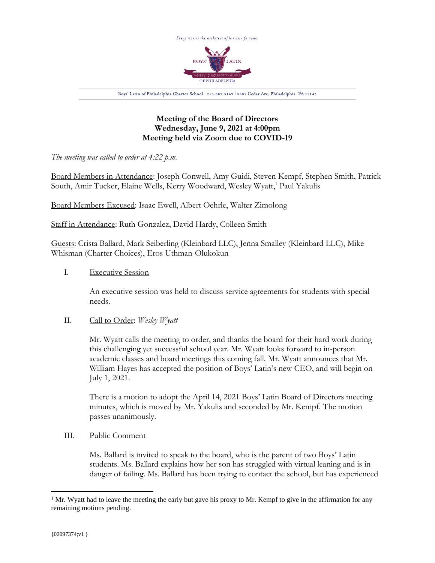

**Meeting of the Board of Directors Wednesday, June 9, 2021 at 4:00pm Meeting held via Zoom due to COVID-19**

*The meeting was called to order at 4:22 p.m.*

Board Members in Attendance: Joseph Conwell, Amy Guidi, Steven Kempf, Stephen Smith, Patrick South, Amir Tucker, Elaine Wells, Kerry Woodward, Wesley Wyatt, <sup>1</sup> Paul Yakulis

Board Members Excused: Isaac Ewell, Albert Oehrle, Walter Zimolong

Staff in Attendance: Ruth Gonzalez, David Hardy, Colleen Smith

Guests: Crista Ballard, Mark Seiberling (Kleinbard LLC), Jenna Smalley (Kleinbard LLC), Mike Whisman (Charter Choices), Eros Uthman-Olukokun

I. Executive Session

An executive session was held to discuss service agreements for students with special needs.

# II. Call to Order: *Wesley Wyatt*

Mr. Wyatt calls the meeting to order, and thanks the board for their hard work during this challenging yet successful school year. Mr. Wyatt looks forward to in-person academic classes and board meetings this coming fall. Mr. Wyatt announces that Mr. William Hayes has accepted the position of Boys' Latin's new CEO, and will begin on July 1, 2021.

There is a motion to adopt the April 14, 2021 Boys' Latin Board of Directors meeting minutes, which is moved by Mr. Yakulis and seconded by Mr. Kempf. The motion passes unanimously.

III. Public Comment

Ms. Ballard is invited to speak to the board, who is the parent of two Boys' Latin students. Ms. Ballard explains how her son has struggled with virtual leaning and is in danger of failing. Ms. Ballard has been trying to contact the school, but has experienced

 $<sup>1</sup>$  Mr. Wyatt had to leave the meeting the early but gave his proxy to Mr. Kempf to give in the affirmation for any</sup> remaining motions pending.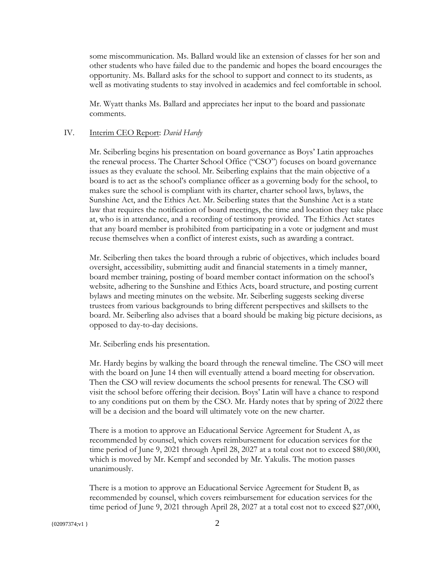some miscommunication. Ms. Ballard would like an extension of classes for her son and other students who have failed due to the pandemic and hopes the board encourages the opportunity. Ms. Ballard asks for the school to support and connect to its students, as well as motivating students to stay involved in academics and feel comfortable in school.

Mr. Wyatt thanks Ms. Ballard and appreciates her input to the board and passionate comments.

### IV. Interim CEO Report: *David Hardy*

Mr. Seiberling begins his presentation on board governance as Boys' Latin approaches the renewal process. The Charter School Office ("CSO") focuses on board governance issues as they evaluate the school. Mr. Seiberling explains that the main objective of a board is to act as the school's compliance officer as a governing body for the school, to makes sure the school is compliant with its charter, charter school laws, bylaws, the Sunshine Act, and the Ethics Act. Mr. Seiberling states that the Sunshine Act is a state law that requires the notification of board meetings, the time and location they take place at, who is in attendance, and a recording of testimony provided. The Ethics Act states that any board member is prohibited from participating in a vote or judgment and must recuse themselves when a conflict of interest exists, such as awarding a contract.

Mr. Seiberling then takes the board through a rubric of objectives, which includes board oversight, accessibility, submitting audit and financial statements in a timely manner, board member training, posting of board member contact information on the school's website, adhering to the Sunshine and Ethics Acts, board structure, and posting current bylaws and meeting minutes on the website. Mr. Seiberling suggests seeking diverse trustees from various backgrounds to bring different perspectives and skillsets to the board. Mr. Seiberling also advises that a board should be making big picture decisions, as opposed to day-to-day decisions.

Mr. Seiberling ends his presentation.

Mr. Hardy begins by walking the board through the renewal timeline. The CSO will meet with the board on June 14 then will eventually attend a board meeting for observation. Then the CSO will review documents the school presents for renewal. The CSO will visit the school before offering their decision. Boys' Latin will have a chance to respond to any conditions put on them by the CSO. Mr. Hardy notes that by spring of 2022 there will be a decision and the board will ultimately vote on the new charter.

There is a motion to approve an Educational Service Agreement for Student A, as recommended by counsel, which covers reimbursement for education services for the time period of June 9, 2021 through April 28, 2027 at a total cost not to exceed \$80,000, which is moved by Mr. Kempf and seconded by Mr. Yakulis. The motion passes unanimously.

There is a motion to approve an Educational Service Agreement for Student B, as recommended by counsel, which covers reimbursement for education services for the time period of June 9, 2021 through April 28, 2027 at a total cost not to exceed \$27,000,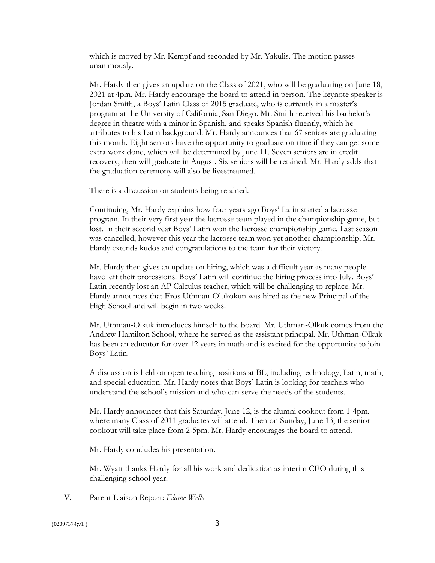which is moved by Mr. Kempf and seconded by Mr. Yakulis. The motion passes unanimously.

Mr. Hardy then gives an update on the Class of 2021, who will be graduating on June 18, 2021 at 4pm. Mr. Hardy encourage the board to attend in person. The keynote speaker is Jordan Smith, a Boys' Latin Class of 2015 graduate, who is currently in a master's program at the University of California, San Diego. Mr. Smith received his bachelor's degree in theatre with a minor in Spanish, and speaks Spanish fluently, which he attributes to his Latin background. Mr. Hardy announces that 67 seniors are graduating this month. Eight seniors have the opportunity to graduate on time if they can get some extra work done, which will be determined by June 11. Seven seniors are in credit recovery, then will graduate in August. Six seniors will be retained. Mr. Hardy adds that the graduation ceremony will also be livestreamed.

There is a discussion on students being retained.

Continuing, Mr. Hardy explains how four years ago Boys' Latin started a lacrosse program. In their very first year the lacrosse team played in the championship game, but lost. In their second year Boys' Latin won the lacrosse championship game. Last season was cancelled, however this year the lacrosse team won yet another championship. Mr. Hardy extends kudos and congratulations to the team for their victory.

Mr. Hardy then gives an update on hiring, which was a difficult year as many people have left their professions. Boys' Latin will continue the hiring process into July. Boys' Latin recently lost an AP Calculus teacher, which will be challenging to replace. Mr. Hardy announces that Eros Uthman-Olukokun was hired as the new Principal of the High School and will begin in two weeks.

Mr. Uthman-Olkuk introduces himself to the board. Mr. Uthman-Olkuk comes from the Andrew Hamilton School, where he served as the assistant principal. Mr. Uthman-Olkuk has been an educator for over 12 years in math and is excited for the opportunity to join Boys' Latin.

A discussion is held on open teaching positions at BL, including technology, Latin, math, and special education. Mr. Hardy notes that Boys' Latin is looking for teachers who understand the school's mission and who can serve the needs of the students.

Mr. Hardy announces that this Saturday, June 12, is the alumni cookout from 1-4pm, where many Class of 2011 graduates will attend. Then on Sunday, June 13, the senior cookout will take place from 2-5pm. Mr. Hardy encourages the board to attend.

Mr. Hardy concludes his presentation.

Mr. Wyatt thanks Hardy for all his work and dedication as interim CEO during this challenging school year.

V. Parent Liaison Report: *Elaine Wells*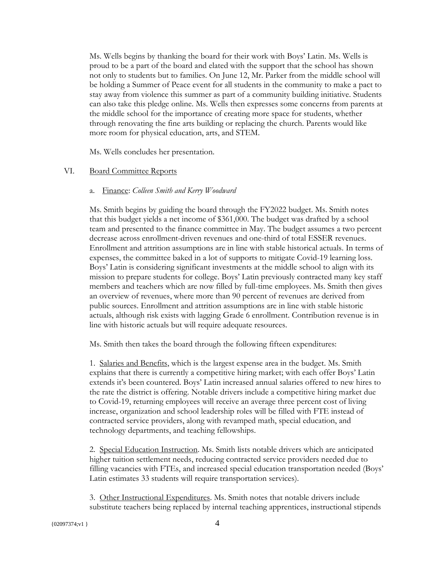Ms. Wells begins by thanking the board for their work with Boys' Latin. Ms. Wells is proud to be a part of the board and elated with the support that the school has shown not only to students but to families. On June 12, Mr. Parker from the middle school will be holding a Summer of Peace event for all students in the community to make a pact to stay away from violence this summer as part of a community building initiative. Students can also take this pledge online. Ms. Wells then expresses some concerns from parents at the middle school for the importance of creating more space for students, whether through renovating the fine arts building or replacing the church. Parents would like more room for physical education, arts, and STEM.

Ms. Wells concludes her presentation.

### VI. Board Committee Reports

#### a. Finance: *Colleen Smith and Kerry Woodward*

Ms. Smith begins by guiding the board through the FY2022 budget. Ms. Smith notes that this budget yields a net income of \$361,000. The budget was drafted by a school team and presented to the finance committee in May. The budget assumes a two percent decrease across enrollment-driven revenues and one-third of total ESSER revenues. Enrollment and attrition assumptions are in line with stable historical actuals. In terms of expenses, the committee baked in a lot of supports to mitigate Covid-19 learning loss. Boys' Latin is considering significant investments at the middle school to align with its mission to prepare students for college. Boys' Latin previously contracted many key staff members and teachers which are now filled by full-time employees. Ms. Smith then gives an overview of revenues, where more than 90 percent of revenues are derived from public sources. Enrollment and attrition assumptions are in line with stable historic actuals, although risk exists with lagging Grade 6 enrollment. Contribution revenue is in line with historic actuals but will require adequate resources.

Ms. Smith then takes the board through the following fifteen expenditures:

1. Salaries and Benefits, which is the largest expense area in the budget. Ms. Smith explains that there is currently a competitive hiring market; with each offer Boys' Latin extends it's been countered. Boys' Latin increased annual salaries offered to new hires to the rate the district is offering. Notable drivers include a competitive hiring market due to Covid-19, returning employees will receive an average three percent cost of living increase, organization and school leadership roles will be filled with FTE instead of contracted service providers, along with revamped math, special education, and technology departments, and teaching fellowships.

2. Special Education Instruction. Ms. Smith lists notable drivers which are anticipated higher tuition settlement needs, reducing contracted service providers needed due to filling vacancies with FTEs, and increased special education transportation needed (Boys' Latin estimates 33 students will require transportation services).

3. Other Instructional Expenditures. Ms. Smith notes that notable drivers include substitute teachers being replaced by internal teaching apprentices, instructional stipends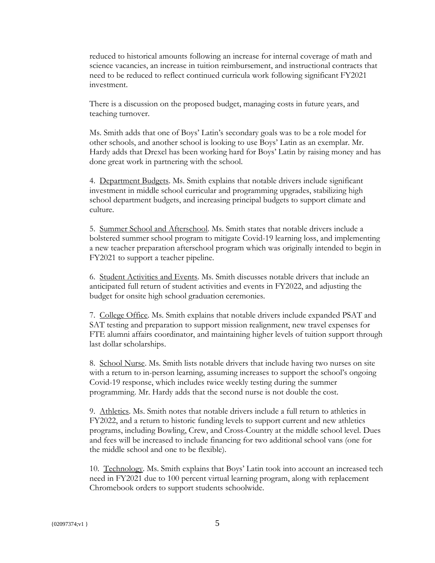reduced to historical amounts following an increase for internal coverage of math and science vacancies, an increase in tuition reimbursement, and instructional contracts that need to be reduced to reflect continued curricula work following significant FY2021 investment.

There is a discussion on the proposed budget, managing costs in future years, and teaching turnover.

Ms. Smith adds that one of Boys' Latin's secondary goals was to be a role model for other schools, and another school is looking to use Boys' Latin as an exemplar. Mr. Hardy adds that Drexel has been working hard for Boys' Latin by raising money and has done great work in partnering with the school.

4. Department Budgets. Ms. Smith explains that notable drivers include significant investment in middle school curricular and programming upgrades, stabilizing high school department budgets, and increasing principal budgets to support climate and culture.

5. Summer School and Afterschool. Ms. Smith states that notable drivers include a bolstered summer school program to mitigate Covid-19 learning loss, and implementing a new teacher preparation afterschool program which was originally intended to begin in FY2021 to support a teacher pipeline.

6. Student Activities and Events. Ms. Smith discusses notable drivers that include an anticipated full return of student activities and events in FY2022, and adjusting the budget for onsite high school graduation ceremonies.

7. College Office. Ms. Smith explains that notable drivers include expanded PSAT and SAT testing and preparation to support mission realignment, new travel expenses for FTE alumni affairs coordinator, and maintaining higher levels of tuition support through last dollar scholarships.

8. School Nurse. Ms. Smith lists notable drivers that include having two nurses on site with a return to in-person learning, assuming increases to support the school's ongoing Covid-19 response, which includes twice weekly testing during the summer programming. Mr. Hardy adds that the second nurse is not double the cost.

9. Athletics. Ms. Smith notes that notable drivers include a full return to athletics in FY2022, and a return to historic funding levels to support current and new athletics programs, including Bowling, Crew, and Cross-Country at the middle school level. Dues and fees will be increased to include financing for two additional school vans (one for the middle school and one to be flexible).

10. Technology. Ms. Smith explains that Boys' Latin took into account an increased tech need in FY2021 due to 100 percent virtual learning program, along with replacement Chromebook orders to support students schoolwide.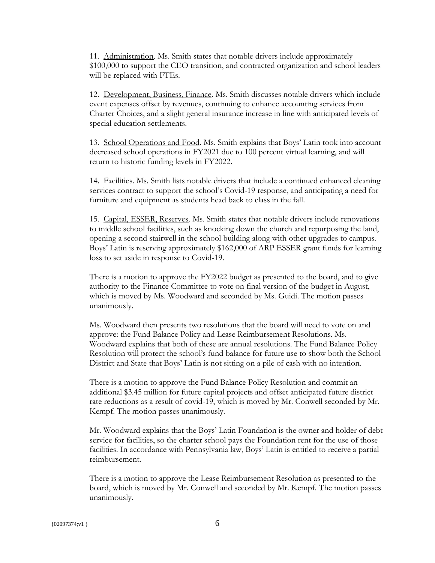11. Administration. Ms. Smith states that notable drivers include approximately \$100,000 to support the CEO transition, and contracted organization and school leaders will be replaced with FTEs.

12. Development, Business, Finance. Ms. Smith discusses notable drivers which include event expenses offset by revenues, continuing to enhance accounting services from Charter Choices, and a slight general insurance increase in line with anticipated levels of special education settlements.

13. School Operations and Food. Ms. Smith explains that Boys' Latin took into account decreased school operations in FY2021 due to 100 percent virtual learning, and will return to historic funding levels in FY2022.

14. Facilities. Ms. Smith lists notable drivers that include a continued enhanced cleaning services contract to support the school's Covid-19 response, and anticipating a need for furniture and equipment as students head back to class in the fall.

15. Capital, ESSER, Reserves. Ms. Smith states that notable drivers include renovations to middle school facilities, such as knocking down the church and repurposing the land, opening a second stairwell in the school building along with other upgrades to campus. Boys' Latin is reserving approximately \$162,000 of ARP ESSER grant funds for learning loss to set aside in response to Covid-19.

There is a motion to approve the FY2022 budget as presented to the board, and to give authority to the Finance Committee to vote on final version of the budget in August, which is moved by Ms. Woodward and seconded by Ms. Guidi. The motion passes unanimously.

Ms. Woodward then presents two resolutions that the board will need to vote on and approve: the Fund Balance Policy and Lease Reimbursement Resolutions. Ms. Woodward explains that both of these are annual resolutions. The Fund Balance Policy Resolution will protect the school's fund balance for future use to show both the School District and State that Boys' Latin is not sitting on a pile of cash with no intention.

There is a motion to approve the Fund Balance Policy Resolution and commit an additional \$3.45 million for future capital projects and offset anticipated future district rate reductions as a result of covid-19, which is moved by Mr. Conwell seconded by Mr. Kempf. The motion passes unanimously.

Mr. Woodward explains that the Boys' Latin Foundation is the owner and holder of debt service for facilities, so the charter school pays the Foundation rent for the use of those facilities. In accordance with Pennsylvania law, Boys' Latin is entitled to receive a partial reimbursement.

There is a motion to approve the Lease Reimbursement Resolution as presented to the board, which is moved by Mr. Conwell and seconded by Mr. Kempf. The motion passes unanimously.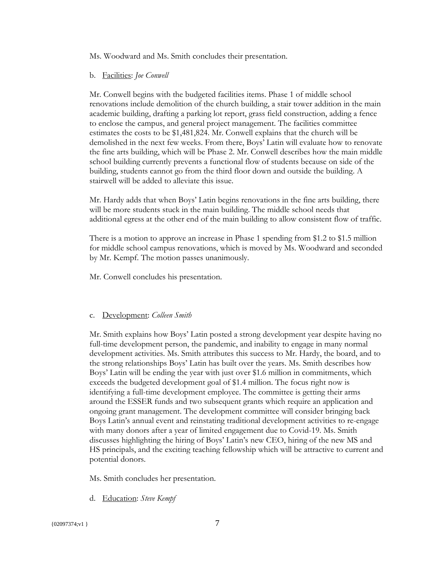Ms. Woodward and Ms. Smith concludes their presentation.

## b. Facilities: *Joe Conwell*

Mr. Conwell begins with the budgeted facilities items. Phase 1 of middle school renovations include demolition of the church building, a stair tower addition in the main academic building, drafting a parking lot report, grass field construction, adding a fence to enclose the campus, and general project management. The facilities committee estimates the costs to be \$1,481,824. Mr. Conwell explains that the church will be demolished in the next few weeks. From there, Boys' Latin will evaluate how to renovate the fine arts building, which will be Phase 2. Mr. Conwell describes how the main middle school building currently prevents a functional flow of students because on side of the building, students cannot go from the third floor down and outside the building. A stairwell will be added to alleviate this issue.

Mr. Hardy adds that when Boys' Latin begins renovations in the fine arts building, there will be more students stuck in the main building. The middle school needs that additional egress at the other end of the main building to allow consistent flow of traffic.

There is a motion to approve an increase in Phase 1 spending from \$1.2 to \$1.5 million for middle school campus renovations, which is moved by Ms. Woodward and seconded by Mr. Kempf. The motion passes unanimously.

Mr. Conwell concludes his presentation.

# c. Development: *Colleen Smith*

Mr. Smith explains how Boys' Latin posted a strong development year despite having no full-time development person, the pandemic, and inability to engage in many normal development activities. Ms. Smith attributes this success to Mr. Hardy, the board, and to the strong relationships Boys' Latin has built over the years. Ms. Smith describes how Boys' Latin will be ending the year with just over \$1.6 million in commitments, which exceeds the budgeted development goal of \$1.4 million. The focus right now is identifying a full-time development employee. The committee is getting their arms around the ESSER funds and two subsequent grants which require an application and ongoing grant management. The development committee will consider bringing back Boys Latin's annual event and reinstating traditional development activities to re-engage with many donors after a year of limited engagement due to Covid-19. Ms. Smith discusses highlighting the hiring of Boys' Latin's new CEO, hiring of the new MS and HS principals, and the exciting teaching fellowship which will be attractive to current and potential donors.

Ms. Smith concludes her presentation.

d. Education: *Steve Kempf*